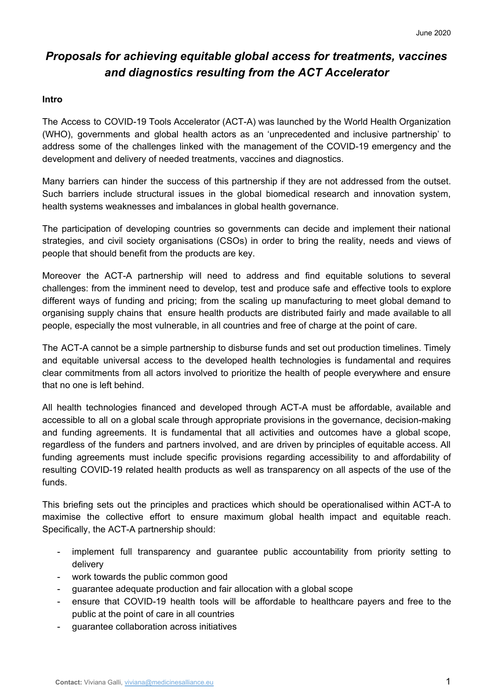# *Proposals for achieving equitable global access for treatments, vaccines and diagnostics resulting from the ACT Accelerator*

#### **Intro**

The Access to COVID-19 Tools Accelerator (ACT-A) was launched by the World Health Organization (WHO), governments and global health actors as an 'unprecedented and inclusive partnership' to address some of the challenges linked with the management of the COVID-19 emergency and the development and delivery of needed treatments, vaccines and diagnostics.

Many barriers can hinder the success of this partnership if they are not addressed from the outset. Such barriers include structural issues in the global biomedical research and innovation system, health systems weaknesses and imbalances in global health governance.

The participation of developing countries so governments can decide and implement their national strategies, and civil society organisations (CSOs) in order to bring the reality, needs and views of people that should benefit from the products are key.

Moreover the ACT-A partnership will need to address and find equitable solutions to several challenges: from the imminent need to develop, test and produce safe and effective tools to explore different ways of funding and pricing; from the scaling up manufacturing to meet global demand to organising supply chains that ensure health products are distributed fairly and made available to all people, especially the most vulnerable, in all countries and free of charge at the point of care.

The ACT-A cannot be a simple partnership to disburse funds and set out production timelines. Timely and equitable universal access to the developed health technologies is fundamental and requires clear commitments from all actors involved to prioritize the health of people everywhere and ensure that no one is left behind.

All health technologies financed and developed through ACT-A must be affordable, available and accessible to all on a global scale through appropriate provisions in the governance, decision-making and funding agreements. It is fundamental that all activities and outcomes have a global scope, regardless of the funders and partners involved, and are driven by principles of equitable access. All funding agreements must include specific provisions regarding accessibility to and affordability of resulting COVID-19 related health products as well as transparency on all aspects of the use of the funds.

This briefing sets out the principles and practices which should be operationalised within ACT-A to maximise the collective effort to ensure maximum global health impact and equitable reach. Specifically, the ACT-A partnership should:

- implement full transparency and guarantee public accountability from priority setting to delivery
- work towards the public common good
- guarantee adequate production and fair allocation with a global scope
- ensure that COVID-19 health tools will be affordable to healthcare payers and free to the public at the point of care in all countries
- guarantee collaboration across initiatives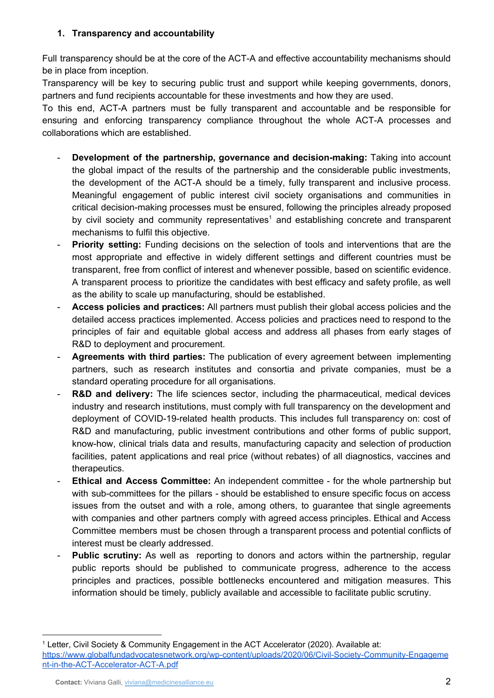## **1. Transparency and accountability**

Full transparency should be at the core of the ACT-A and effective accountability mechanisms should be in place from inception.

Transparency will be key to securing public trust and support while keeping governments, donors, partners and fund recipients accountable for these investments and how they are used.

To this end, ACT-A partners must be fully transparent and accountable and be responsible for ensuring and enforcing transparency compliance throughout the whole ACT-A processes and collaborations which are established.

- **Development of the partnership, governance and decision-making:** Taking into account the global impact of the results of the partnership and the considerable public investments, the development of the ACT-A should be a timely, fully transparent and inclusive process. Meaningful engagement of public interest civil society organisations and communities in critical decision-making processes must be ensured, following the principles already proposed by civil society and community representatives<sup>1</sup> and establishing concrete and transparent mechanisms to fulfil this objective.
- **Priority setting:** Funding decisions on the selection of tools and interventions that are the most appropriate and effective in widely different settings and different countries must be transparent, free from conflict of interest and whenever possible, based on scientific evidence. A transparent process to prioritize the candidates with best efficacy and safety profile, as well as the ability to scale up manufacturing, should be established.
- **Access policies and practices:** All partners must publish their global access policies and the detailed access practices implemented. Access policies and practices need to respond to the principles of fair and equitable global access and address all phases from early stages of R&D to deployment and procurement.
- **Agreements with third parties:** The publication of every agreement between implementing partners, such as research institutes and consortia and private companies, must be a standard operating procedure for all organisations.
- **R&D** and delivery: The life sciences sector, including the pharmaceutical, medical devices industry and research institutions, must comply with full transparency on the development and deployment of COVID-19-related health products. This includes full transparency on: cost of R&D and manufacturing, public investment contributions and other forms of public support, know-how, clinical trials data and results, manufacturing capacity and selection of production facilities, patent applications and real price (without rebates) of all diagnostics, vaccines and therapeutics.
- **Ethical and Access Committee:** An independent committee for the whole partnership but with sub-committees for the pillars - should be established to ensure specific focus on access issues from the outset and with a role, among others, to guarantee that single agreements with companies and other partners comply with agreed access principles. Ethical and Access Committee members must be chosen through a transparent process and potential conflicts of interest must be clearly addressed.
- **Public scrutiny:** As well as reporting to donors and actors within the partnership, regular public reports should be published to communicate progress, adherence to the access principles and practices, possible bottlenecks encountered and mitigation measures. This information should be timely, publicly available and accessible to facilitate public scrutiny.

<sup>1</sup> Letter, Civil Society & Community Engagement in the ACT Accelerator (2020). Available at: [https://www.globalfundadvocatesnetwork.org/wp-content/uploads/2020/06/Civil-Society-Community-Engageme](https://www.globalfundadvocatesnetwork.org/wp-content/uploads/2020/06/Civil-Society-Community-Engagement-in-the-ACT-Accelerator-ACT-A.pdf) [nt-in-the-ACT-Accelerator-ACT-A.pdf](https://www.globalfundadvocatesnetwork.org/wp-content/uploads/2020/06/Civil-Society-Community-Engagement-in-the-ACT-Accelerator-ACT-A.pdf)

**Contact:** Viviana Galli, [viviana@medicinesalliance.eu](mailto:viviana@medicinesalliance.eu) 2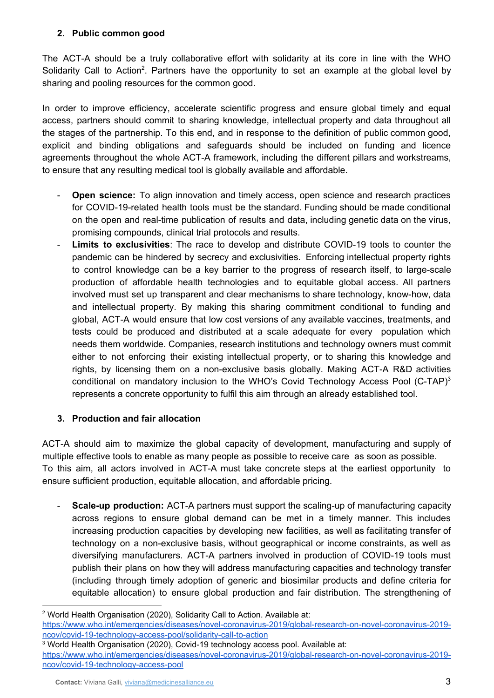## **2. Public common good**

The ACT-A should be a truly collaborative effort with solidarity at its core in line with the WHO Solidarity Call to Action<sup>2</sup>. Partners have the opportunity to set an example at the global level by sharing and pooling resources for the common good.

In order to improve efficiency, accelerate scientific progress and ensure global timely and equal access, partners should commit to sharing knowledge, intellectual property and data throughout all the stages of the partnership. To this end, and in response to the definition of public common good, explicit and binding obligations and safeguards should be included on funding and licence agreements throughout the whole ACT-A framework, including the different pillars and workstreams, to ensure that any resulting medical tool is globally available and affordable.

- **Open science:** To align innovation and timely access, open science and research practices for COVID-19-related health tools must be the standard. Funding should be made conditional on the open and real-time publication of results and data, including genetic data on the virus, promising compounds, clinical trial protocols and results.
- **Limits to exclusivities**: The race to develop and distribute COVID-19 tools to counter the pandemic can be hindered by secrecy and exclusivities. Enforcing intellectual property rights to control knowledge can be a key barrier to the progress of research itself, to large-scale production of affordable health technologies and to equitable global access. All partners involved must set up transparent and clear mechanisms to share technology, know-how, data and intellectual property. By making this sharing commitment conditional to funding and global, ACT-A would ensure that low cost versions of any available vaccines, treatments, and tests could be produced and distributed at a scale adequate for every population which needs them worldwide. Companies, research institutions and technology owners must commit either to not enforcing their existing intellectual property, or to sharing this knowledge and rights, by licensing them on a non-exclusive basis globally. Making ACT-A R&D activities conditional on mandatory inclusion to the WHO's Covid Technology Access Pool (C-TAP) $3$ represents a concrete opportunity to fulfil this aim through an already established tool.

# **3. Production and fair allocation**

ACT-A should aim to maximize the global capacity of development, manufacturing and supply of multiple effective tools to enable as many people as possible to receive care as soon as possible. To this aim, all actors involved in ACT-A must take concrete steps at the earliest opportunity to ensure sufficient production, equitable allocation, and affordable pricing.

**Scale-up production:** ACT-A partners must support the scaling-up of manufacturing capacity across regions to ensure global demand can be met in a timely manner. This includes increasing production capacities by developing new facilities, as well as facilitating transfer of technology on a non-exclusive basis, without geographical or income constraints, as well as diversifying manufacturers. ACT-A partners involved in production of COVID-19 tools must publish their plans on how they will address manufacturing capacities and technology transfer (including through timely adoption of generic and biosimilar products and define criteria for equitable allocation) to ensure global production and fair distribution. The strengthening of

<sup>2</sup> World Health Organisation (2020), Solidarity Call to Action. Available at:

[https://www.who.int/emergencies/diseases/novel-coronavirus-2019/global-research-on-novel-coronavirus-2019](https://www.who.int/emergencies/diseases/novel-coronavirus-2019/global-research-on-novel-coronavirus-2019-ncov/covid-19-technology-access-pool/solidarity-call-to-action) [ncov/covid-19-technology-access-pool/solidarity-call-to-action](https://www.who.int/emergencies/diseases/novel-coronavirus-2019/global-research-on-novel-coronavirus-2019-ncov/covid-19-technology-access-pool/solidarity-call-to-action)

<sup>&</sup>lt;sup>3</sup> World Health Organisation (2020), Covid-19 technology access pool. Available at:

[https://www.who.int/emergencies/diseases/novel-coronavirus-2019/global-research-on-novel-coronavirus-2019](https://www.who.int/emergencies/diseases/novel-coronavirus-2019/global-research-on-novel-coronavirus-2019-ncov/covid-19-technology-access-pool) [ncov/covid-19-technology-access-pool](https://www.who.int/emergencies/diseases/novel-coronavirus-2019/global-research-on-novel-coronavirus-2019-ncov/covid-19-technology-access-pool)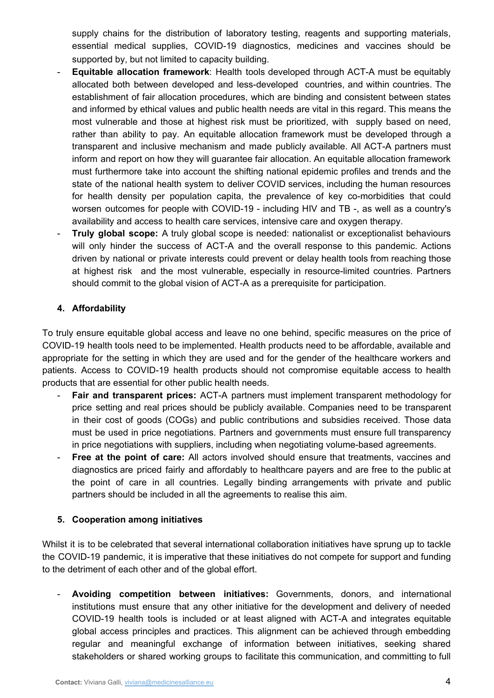supply chains for the distribution of laboratory testing, reagents and supporting materials, essential medical supplies, COVID-19 diagnostics, medicines and vaccines should be supported by, but not limited to capacity building.

- **Equitable allocation framework**: Health tools developed through ACT-A must be equitably allocated both between developed and less-developed countries, and within countries. The establishment of fair allocation procedures, which are binding and consistent between states and informed by ethical values and public health needs are vital in this regard. This means the most vulnerable and those at highest risk must be prioritized, with supply based on need, rather than ability to pay. An equitable allocation framework must be developed through a transparent and inclusive mechanism and made publicly available. All ACT-A partners must inform and report on how they will guarantee fair allocation. An equitable allocation framework must furthermore take into account the shifting national epidemic profiles and trends and the state of the national health system to deliver COVID services, including the human resources for health density per population capita, the prevalence of key co-morbidities that could worsen outcomes for people with COVID-19 - including HIV and TB -, as well as a country's availability and access to health care services, intensive care and oxygen therapy.
- **Truly global scope:** A truly global scope is needed: nationalist or exceptionalist behaviours will only hinder the success of ACT-A and the overall response to this pandemic. Actions driven by national or private interests could prevent or delay health tools from reaching those at highest risk and the most vulnerable, especially in resource-limited countries. Partners should commit to the global vision of ACT-A as a prerequisite for participation.

### **4. Affordability**

To truly ensure equitable global access and leave no one behind, specific measures on the price of COVID-19 health tools need to be implemented. Health products need to be affordable, available and appropriate for the setting in which they are used and for the gender of the healthcare workers and patients. Access to COVID-19 health products should not compromise equitable access to health products that are essential for other public health needs.

- **Fair and transparent prices:** ACT-A partners must implement transparent methodology for price setting and real prices should be publicly available. Companies need to be transparent in their cost of goods (COGs) and public contributions and subsidies received. Those data must be used in price negotiations. Partners and governments must ensure full transparency in price negotiations with suppliers, including when negotiating volume-based agreements.
- **Free at the point of care:** All actors involved should ensure that treatments, vaccines and diagnostics are priced fairly and affordably to healthcare payers and are free to the public at the point of care in all countries. Legally binding arrangements with private and public partners should be included in all the agreements to realise this aim.

### **5. Cooperation among initiatives**

Whilst it is to be celebrated that several international collaboration initiatives have sprung up to tackle the COVID-19 pandemic, it is imperative that these initiatives do not compete for support and funding to the detriment of each other and of the global effort.

- **Avoiding competition between initiatives:** Governments, donors, and international institutions must ensure that any other initiative for the development and delivery of needed COVID-19 health tools is included or at least aligned with ACT-A and integrates equitable global access principles and practices. This alignment can be achieved through embedding regular and meaningful exchange of information between initiatives, seeking shared stakeholders or shared working groups to facilitate this communication, and committing to full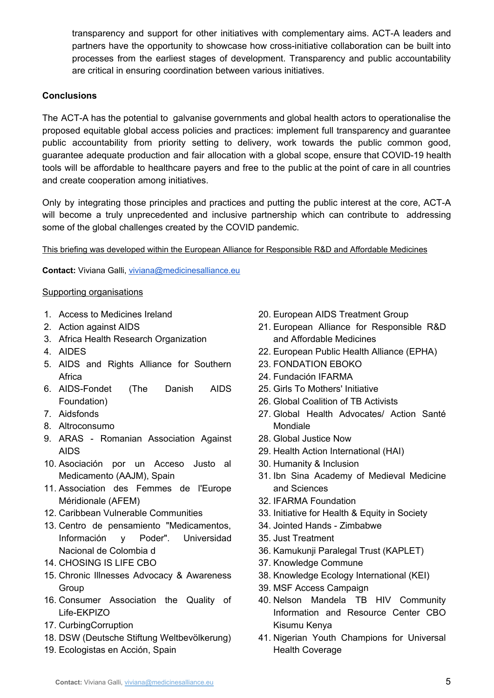transparency and support for other initiatives with complementary aims. ACT-A leaders and partners have the opportunity to showcase how cross-initiative collaboration can be built into processes from the earliest stages of development. Transparency and public accountability are critical in ensuring coordination between various initiatives.

### **Conclusions**

The ACT-A has the potential to galvanise governments and global health actors to operationalise the proposed equitable global access policies and practices: implement full transparency and guarantee public accountability from priority setting to delivery, work towards the public common good, guarantee adequate production and fair allocation with a global scope, ensure that COVID-19 health tools will be affordable to healthcare payers and free to the public at the point of care in all countries and create cooperation among initiatives.

Only by integrating those principles and practices and putting the public interest at the core, ACT-A will become a truly unprecedented and inclusive partnership which can contribute to addressing some of the global challenges created by the COVID pandemic.

### This briefing was developed within the European Alliance for Responsible R&D and Affordable Medicines

**Contact:** Viviana Galli, [viviana@medicinesalliance.eu](mailto:viviana@medicinesalliance.eu)

#### Supporting organisations

- 1. Access to Medicines Ireland
- 2. Action against AIDS
- 3. Africa Health Research Organization
- 4. AIDES
- 5. AIDS and Rights Alliance for Southern Africa
- 6. AIDS-Fondet (The Danish AIDS Foundation)
- 7. Aidsfonds
- 8. Altroconsumo
- 9. ARAS Romanian Association Against AIDS
- 10. Asociación por un Acceso Justo al Medicamento (AAJM), Spain
- 11. Association des Femmes de l'Europe Méridionale (AFEM)
- 12. Caribbean Vulnerable Communities
- 13. Centro de pensamiento "Medicamentos, Información y Poder". Universidad Nacional de Colombia d
- 14. CHOSING IS LIFE CBO
- 15. Chronic Illnesses Advocacy & Awareness Group
- 16. Consumer Association the Quality of Life-EKPIZO
- 17. CurbingCorruption
- 18. DSW (Deutsche Stiftung Weltbevölkerung)
- 19. Ecologistas en Acción, Spain
- 20. European AIDS Treatment Group
- 21. European Alliance for Responsible R&D and Affordable Medicines
- 22. European Public Health Alliance (EPHA)
- 23. FONDATION EBOKO
- 24. Fundación IFARMA
- 25. Girls To Mothers' Initiative
- 26. Global Coalition of TB Activists
- 27. Global Health Advocates/ Action Santé Mondiale
- 28. Global Justice Now
- 29. Health Action International (HAI)
- 30. Humanity & Inclusion
- 31. Ibn Sina Academy of Medieval Medicine and Sciences
- 32. IFARMA Foundation
- 33. Initiative for Health & Equity in Society
- 34. Jointed Hands Zimbabwe
- 35. Just Treatment
- 36. Kamukunji Paralegal Trust (KAPLET)
- 37. Knowledge Commune
- 38. Knowledge Ecology International (KEI)
- 39. MSF Access Campaign
- 40. Nelson Mandela TB HIV Community Information and Resource Center CBO Kisumu Kenya
- 41. Nigerian Youth Champions for Universal Health Coverage